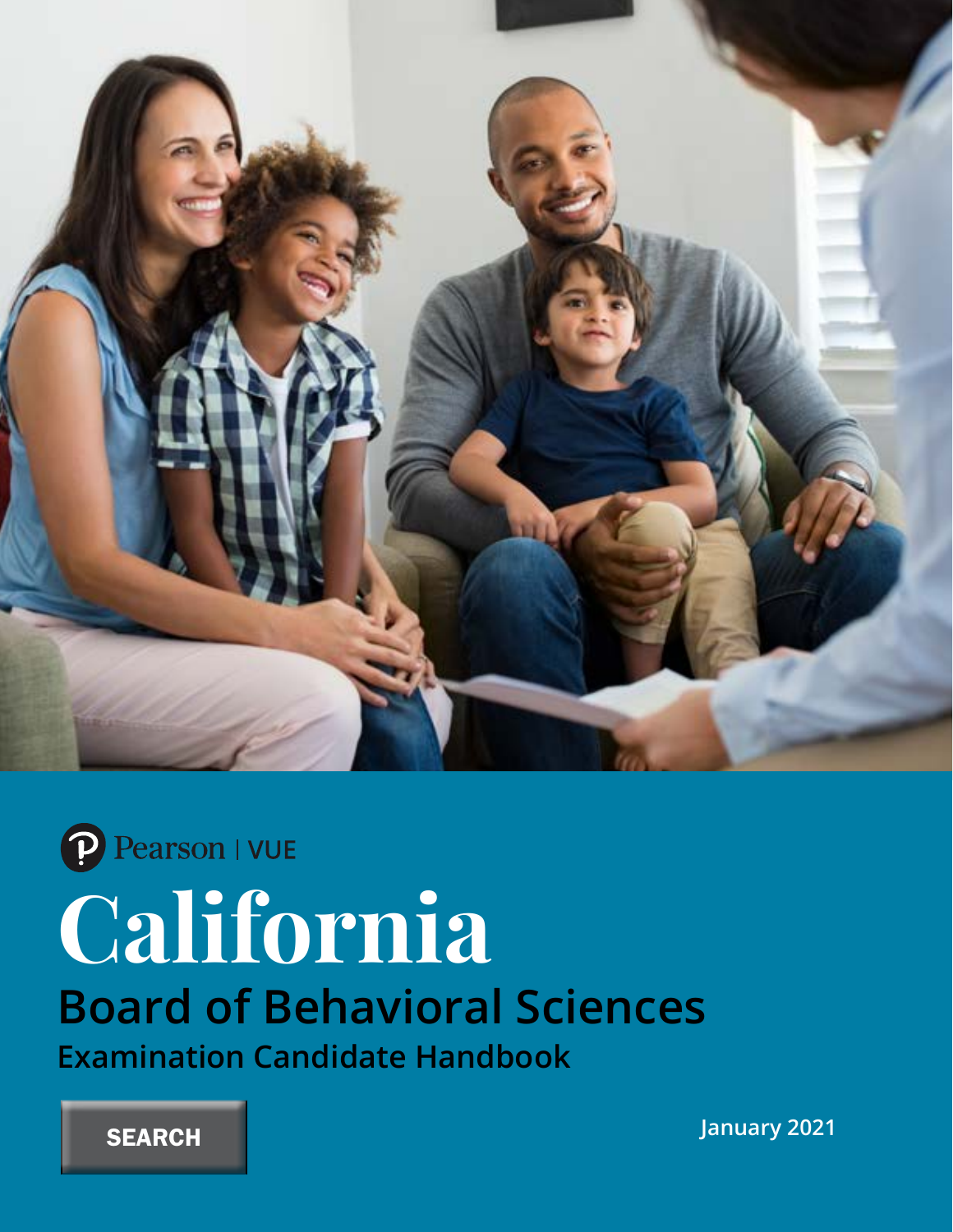

P Pearson | VUE

# **California**

# **Board of Behavioral Sciences**

**Examination Candidate Handbook**

**SEARCH** 

**January 2021**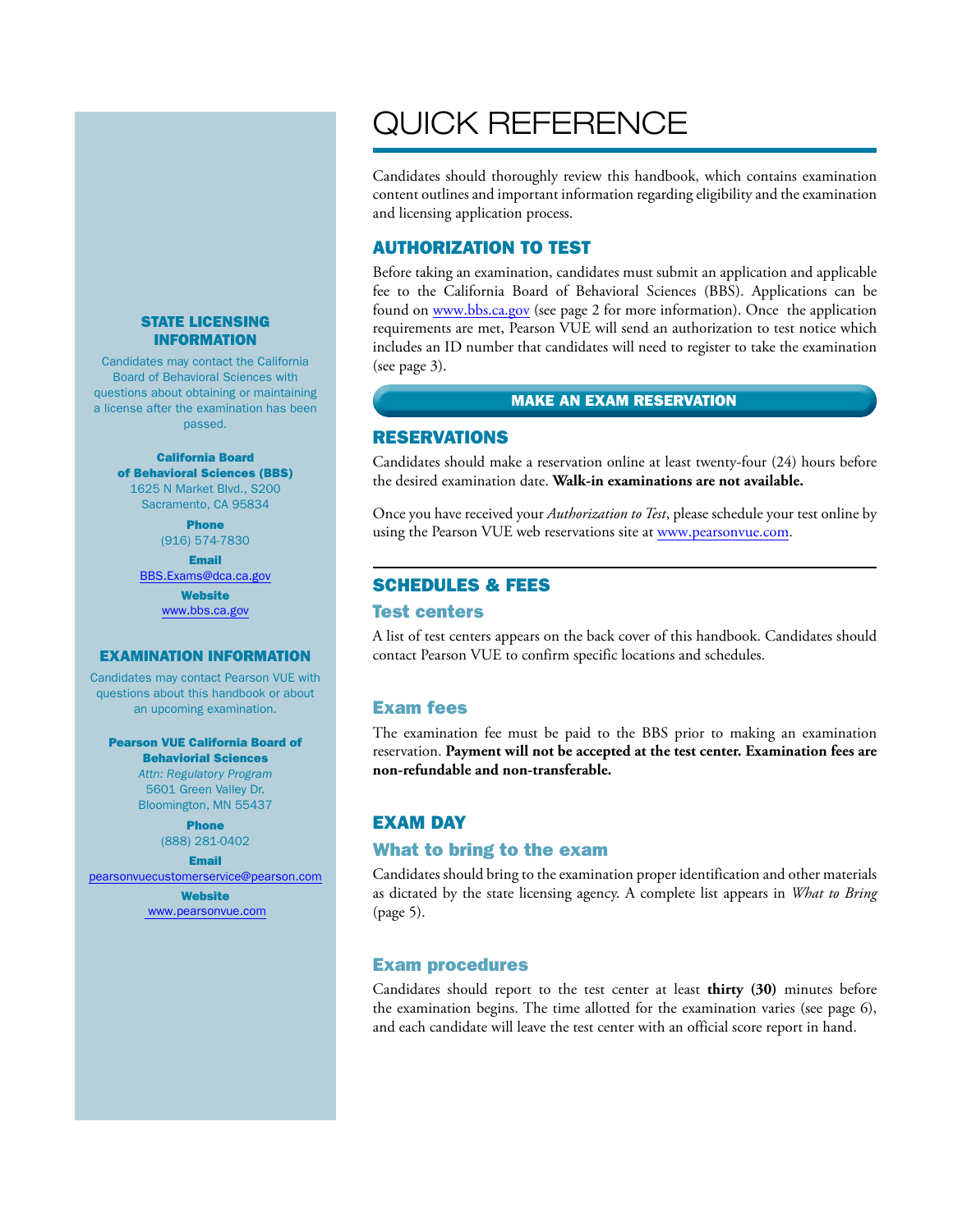#### STATE LICENSING INFORMATION

Candidates may contact the California Board of Behavioral Sciences with questions about obtaining or maintaining a license after the examination has been passed.

#### California Board of Behavioral Sciences (BBS) 1625 N Market Blvd., S200 Sacramento, CA 95834

Phone (916) 574-7830

Email BBS.Exams@dca.ca.gov

> **Website** www.bbs.ca.gov

#### EXAMINATION INFORMATION

Candidates may contact Pearson VUE with questions about this handbook or about an upcoming examination.

Pearson VUE California Board of Behaviorial Sciences *Attn: Regulatory Program* 5601 Green Valley Dr.

> Bloomington, MN 55437 Phone

(888) 281-0402 Email

pearsonvuecustomerservice@pearson.com

**Website** www.pearsonvue.com

# QUICK REFERENCE

Candidates should thoroughly review this handbook, which contains examination content outlines and important information regarding eligibility and the examination and licensing application process.

#### AUTHORIZATION TO TEST

Before taking an examination, candidates must submit an application and applicable fee to the California Board of Behavioral Sciences (BBS). Applications can be found on www.bbs.ca.gov (see page 2 for more information). Once the application requirements are met, Pearson VUE will send an authorization to test notice which includes an ID number that candidates will need to register to take the examination (see page 3).

#### MAKE AN EXAM RESERVATION

#### RESERVATIONS

Candidates should make a reservation online at least twenty-four (24) hours before the desired examination date. **Walk-in examinations are not available.**

Once you have received your *Authorization to Test*, please schedule your test online by using the Pearson VUE web reservations site at www.pearsonvue.com.

### SCHEDULES & FEES

#### Test centers

A list of test centers appears on the back cover of this handbook. Candidates should contact Pearson VUE to confirm specific locations and schedules.

#### Exam fees

The examination fee must be paid to the BBS prior to making an examination reservation. **Payment will not be accepted at the test center. Examination fees are non-refundable and non-transferable.**

#### EXAM DAY

#### What to bring to the exam

Candidates should bring to the examination proper identification and other materials as dictated by the state licensing agency. A complete list appears in *What to Bring*  (page 5).

#### Exam procedures

Candidates should report to the test center at least **thirty (30)** minutes before the examination begins. The time allotted for the examination varies (see page 6), and each candidate will leave the test center with an official score report in hand.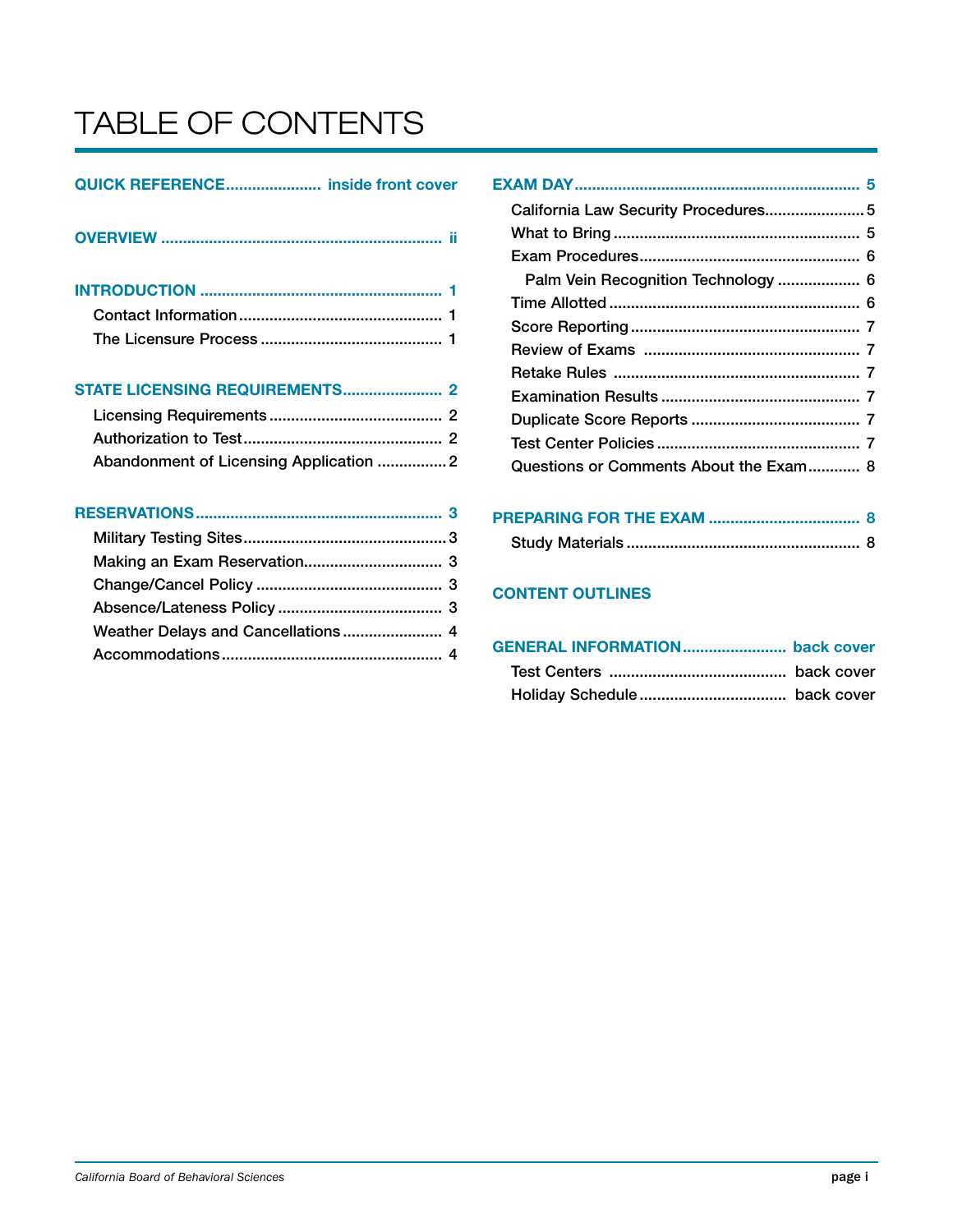# TABLE OF CONTENTS

# QUICK REFERENCE...................... inside front cover

|--|

INTRODUCTION ........................................................ 1 Contact Information............................................... 1

The Licensure Process .......................................... 1

STATE LICENSING REQUIREMENTS....................... 2

| Abandonment of Licensing Application 2 |  |
|----------------------------------------|--|

| California Law Security Procedures 5   |  |
|----------------------------------------|--|
|                                        |  |
|                                        |  |
| Palm Vein Recognition Technology  6    |  |
|                                        |  |
|                                        |  |
|                                        |  |
|                                        |  |
|                                        |  |
|                                        |  |
|                                        |  |
| Questions or Comments About the Exam 8 |  |
|                                        |  |

# PREPARING FOR THE EXAM ................................... 8 Study Materials ...................................................... 8

# CONTENT OUTLINES

| GENERAL INFORMATION back cover |  |
|--------------------------------|--|
|                                |  |
|                                |  |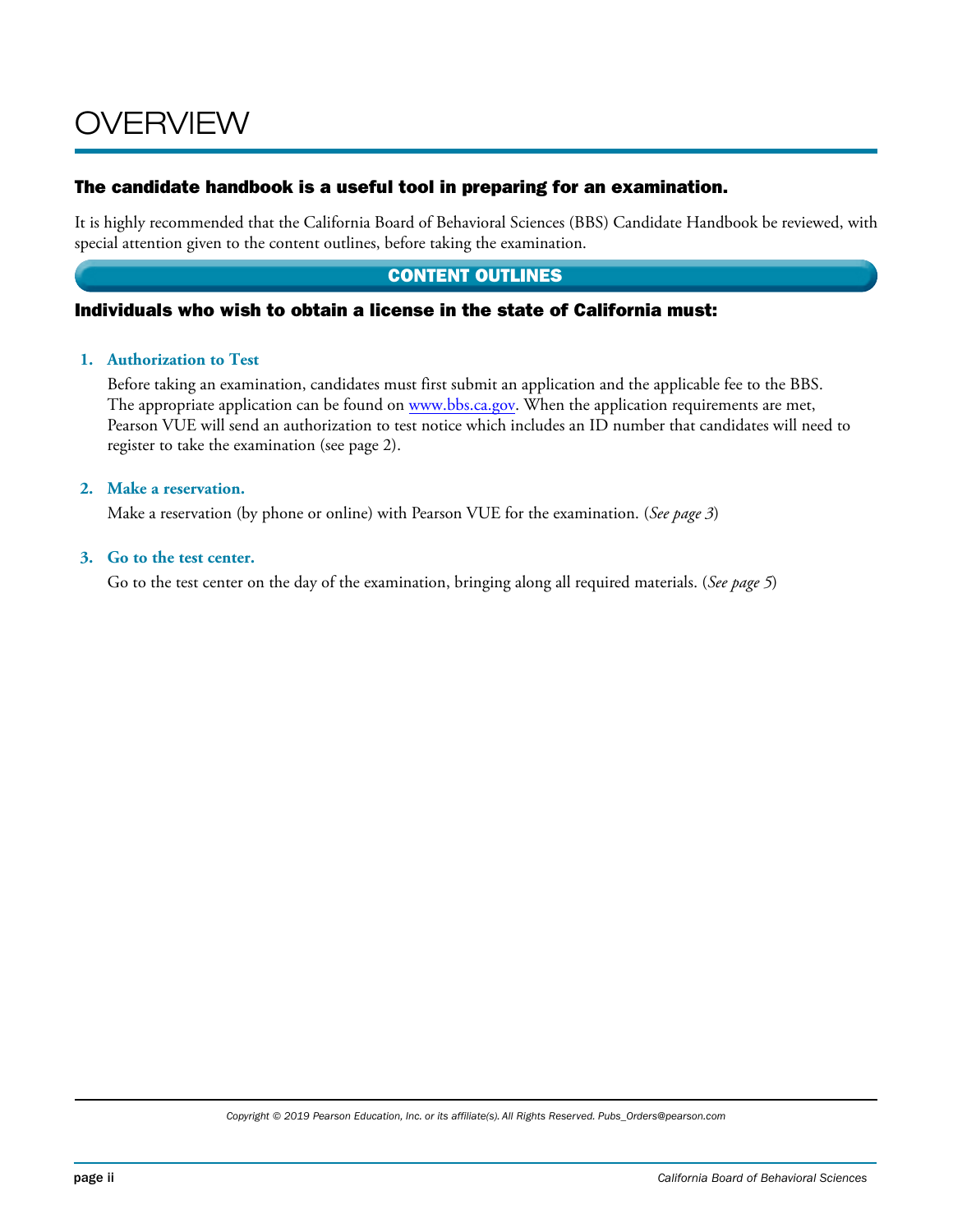# OVERVIEW

## The candidate handbook is a useful tool in preparing for an examination.

It is highly recommended that the California Board of Behavioral Sciences (BBS) Candidate Handbook be reviewed, with special attention given to the content outlines, before taking the examination.

# CONTENT OUTLINES

### Individuals who wish to obtain a license in the state of California must:

#### **1. Authorization to Test**

Before taking an examination, candidates must first submit an application and the applicable fee to the BBS. The appropriate application can be found on www.bbs.ca.gov. When the application requirements are met, Pearson VUE will send an authorization to test notice which includes an ID number that candidates will need to register to take the examination (see page 2).

#### **2. Make a reservation.**

Make a reservation (by phone or online) with Pearson VUE for the examination. (*See page 3*)

#### **3. Go to the test center.**

Go to the test center on the day of the examination, bringing along all required materials. (*See page 5*)

*Copyright © 2019 Pearson Education, Inc. or its affiliate(s). All Rights Reserved. Pubs\_Orders@pearson.com*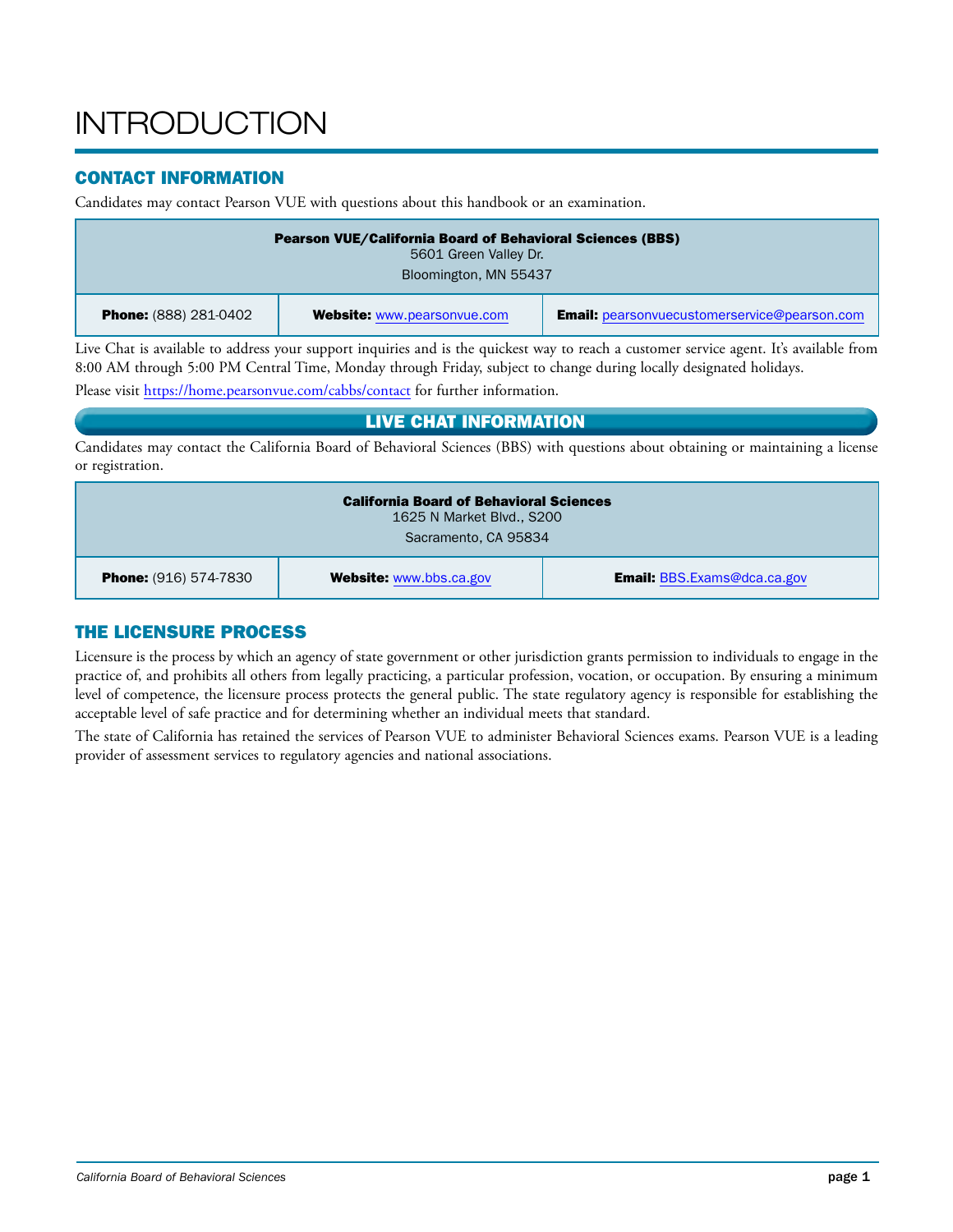# **INTRODUCTION**

# CONTACT INFORMATION

Candidates may contact Pearson VUE with questions about this handbook or an examination.

| <b>Pearson VUE/California Board of Behavioral Sciences (BBS)</b><br>5601 Green Valley Dr.<br>Bloomington, MN 55437 |                                    |                                                     |  |
|--------------------------------------------------------------------------------------------------------------------|------------------------------------|-----------------------------------------------------|--|
| <b>Phone:</b> (888) 281-0402                                                                                       | <b>Website: www.pearsonvue.com</b> | <b>Email:</b> pearsonvuecustomerservice@pearson.com |  |

Live Chat is available to address your support inquiries and is the quickest way to reach a customer service agent. It's available from 8:00 AM through 5:00 PM Central Time, Monday through Friday, subject to change during locally designated holidays.

Please visit https://home.pearsonvue.com/cabbs/contact for further information.

### LIVE CHAT INFORMATION

Candidates may contact the California Board of Behavioral Sciences (BBS) with questions about obtaining or maintaining a license or registration.

| <b>California Board of Behavioral Sciences</b><br>1625 N Market Blvd., S200<br>Sacramento, CA 95834  |  |  |  |
|------------------------------------------------------------------------------------------------------|--|--|--|
| <b>Email:</b> BBS.Exams@dca.ca.gov<br><b>Website: www.bbs.ca.gov</b><br><b>Phone:</b> (916) 574-7830 |  |  |  |

# THE LICENSURE PROCESS

Licensure is the process by which an agency of state government or other jurisdiction grants permission to individuals to engage in the practice of, and prohibits all others from legally practicing, a particular profession, vocation, or occupation. By ensuring a minimum level of competence, the licensure process protects the general public. The state regulatory agency is responsible for establishing the acceptable level of safe practice and for determining whether an individual meets that standard.

The state of California has retained the services of Pearson VUE to administer Behavioral Sciences exams. Pearson VUE is a leading provider of assessment services to regulatory agencies and national associations.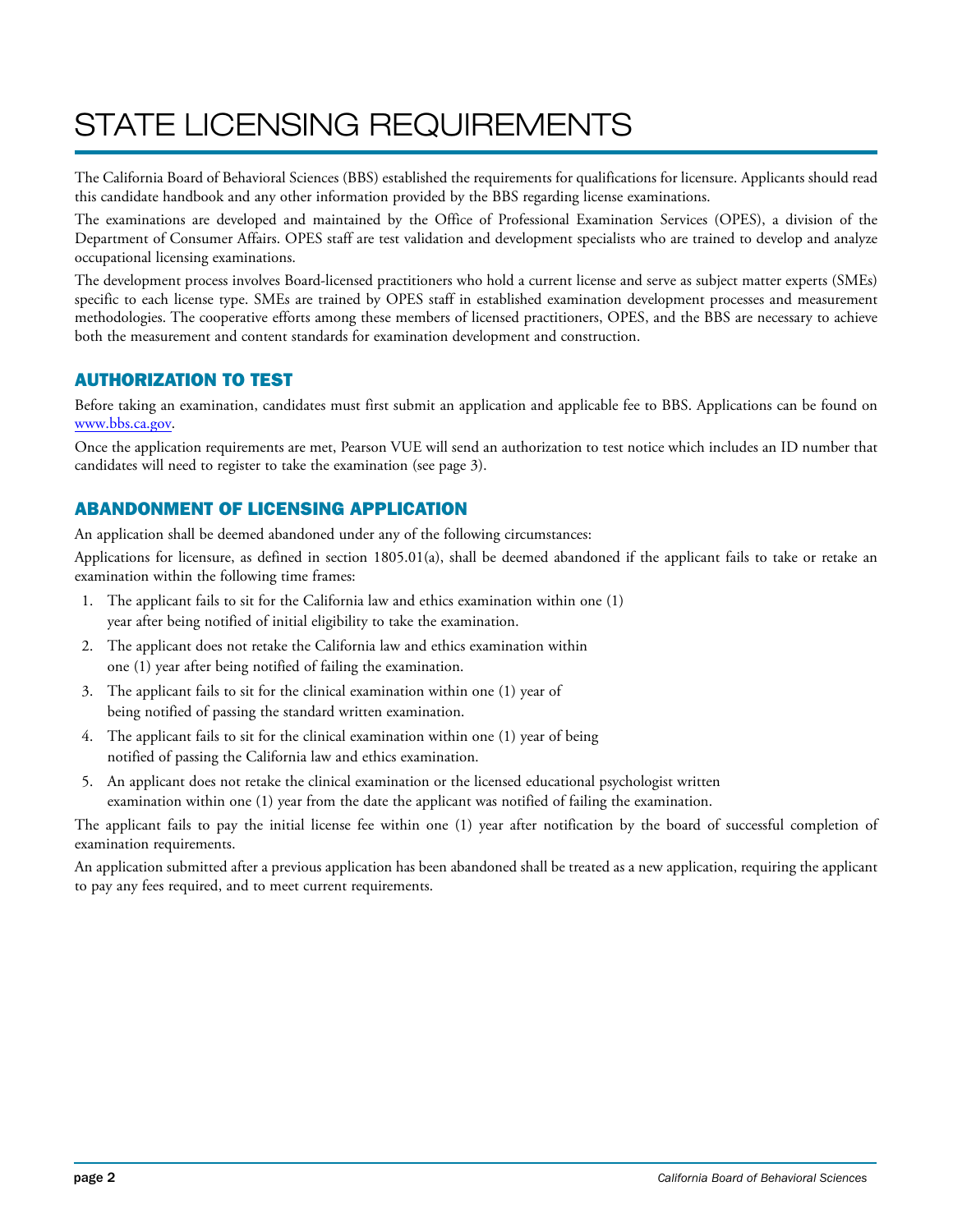# STATE LICENSING REQUIREMENTS

The California Board of Behavioral Sciences (BBS) established the requirements for qualifications for licensure. Applicants should read this candidate handbook and any other information provided by the BBS regarding license examinations.

The examinations are developed and maintained by the Office of Professional Examination Services (OPES), a division of the Department of Consumer Affairs. OPES staff are test validation and development specialists who are trained to develop and analyze occupational licensing examinations.

The development process involves Board-licensed practitioners who hold a current license and serve as subject matter experts (SMEs) specific to each license type. SMEs are trained by OPES staff in established examination development processes and measurement methodologies. The cooperative efforts among these members of licensed practitioners, OPES, and the BBS are necessary to achieve both the measurement and content standards for examination development and construction.

# AUTHORIZATION TO TEST

Before taking an examination, candidates must first submit an application and applicable fee to BBS. Applications can be found on www.bbs.ca.gov.

Once the application requirements are met, Pearson VUE will send an authorization to test notice which includes an ID number that candidates will need to register to take the examination (see page 3).

# ABANDONMENT OF LICENSING APPLICATION

An application shall be deemed abandoned under any of the following circumstances:

Applications for licensure, as defined in section 1805.01(a), shall be deemed abandoned if the applicant fails to take or retake an examination within the following time frames:

- 1. The applicant fails to sit for the California law and ethics examination within one (1) year after being notified of initial eligibility to take the examination.
- 2. The applicant does not retake the California law and ethics examination within one (1) year after being notified of failing the examination.
- 3. The applicant fails to sit for the clinical examination within one (1) year of being notified of passing the standard written examination.
- 4. The applicant fails to sit for the clinical examination within one (1) year of being notified of passing the California law and ethics examination.
- 5. An applicant does not retake the clinical examination or the licensed educational psychologist written examination within one (1) year from the date the applicant was notified of failing the examination.

The applicant fails to pay the initial license fee within one (1) year after notification by the board of successful completion of examination requirements.

An application submitted after a previous application has been abandoned shall be treated as a new application, requiring the applicant to pay any fees required, and to meet current requirements.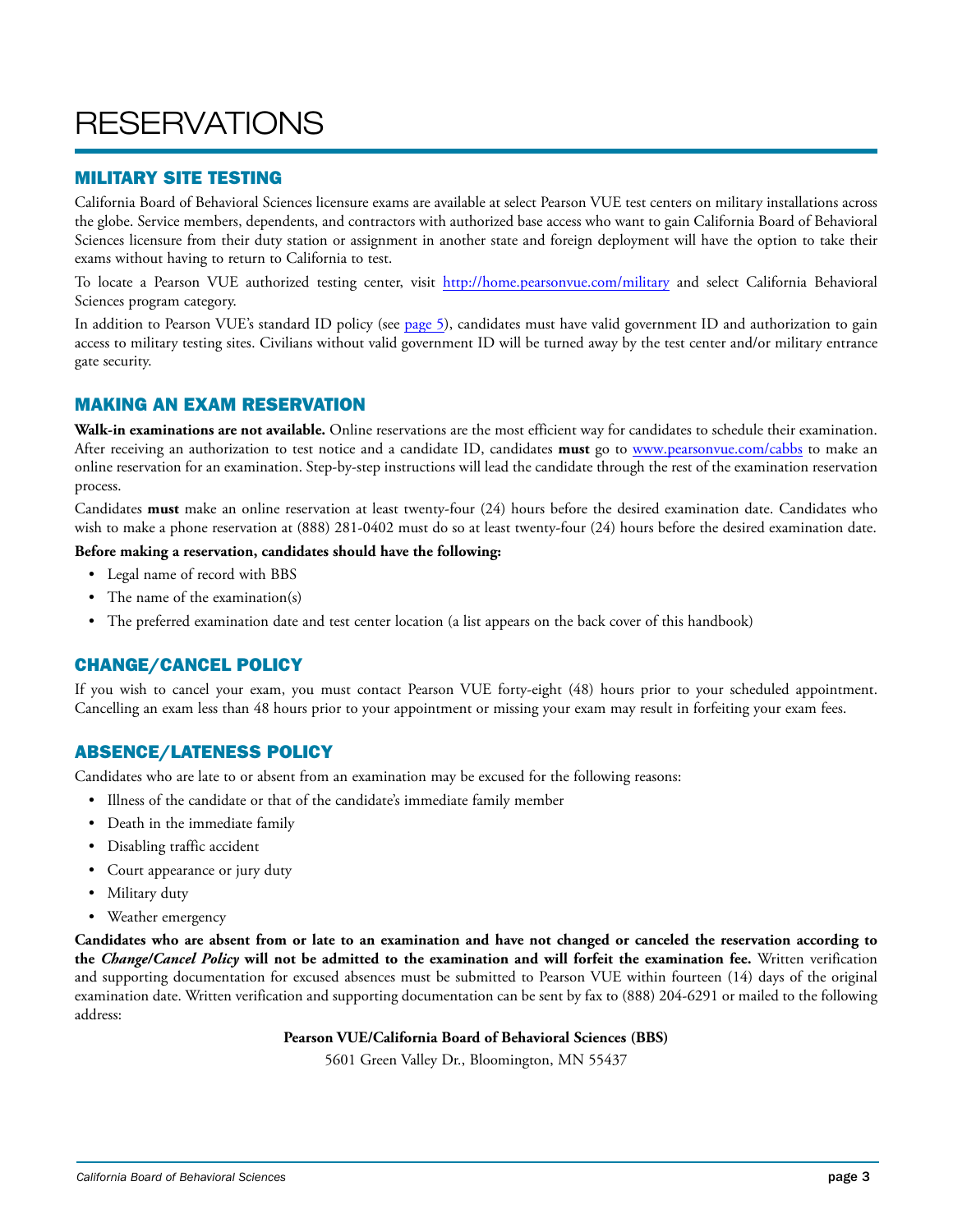# **RESERVATIONS**

### MILITARY SITE TESTING

California Board of Behavioral Sciences licensure exams are available at select Pearson VUE test centers on military installations across the globe. Service members, dependents, and contractors with authorized base access who want to gain California Board of Behavioral Sciences licensure from their duty station or assignment in another state and foreign deployment will have the option to take their exams without having to return to California to test.

To locate a Pearson VUE authorized testing center, visit http://home.pearsonvue.com/military and select California Behavioral Sciences program category.

In addition to Pearson VUE's standard ID policy (see [page](#page-8-0) 5), candidates must have valid government ID and authorization to gain access to military testing sites. Civilians without valid government ID will be turned away by the test center and/or military entrance gate security.

### MAKING AN EXAM RESERVATION

**Walk-in examinations are not available.** Online reservations are the most efficient way for candidates to schedule their examination. After receiving an authorization to test notice and a candidate ID, candidates **must** go to www.pearsonvue.com/cabbs to make an online reservation for an examination. Step-by-step instructions will lead the candidate through the rest of the examination reservation process.

Candidates **must** make an online reservation at least twenty-four (24) hours before the desired examination date. Candidates who wish to make a phone reservation at (888) 281-0402 must do so at least twenty-four (24) hours before the desired examination date.

#### **Before making a reservation, candidates should have the following:**

- Legal name of record with BBS
- The name of the examination(s)
- The preferred examination date and test center location (a list appears on the back cover of this handbook)

# CHANGE/CANCEL POLICY

If you wish to cancel your exam, you must contact Pearson VUE forty-eight (48) hours prior to your scheduled appointment. Cancelling an exam less than 48 hours prior to your appointment or missing your exam may result in forfeiting your exam fees.

# ABSENCE/LATENESS POLICY

Candidates who are late to or absent from an examination may be excused for the following reasons:

- Illness of the candidate or that of the candidate's immediate family member
- Death in the immediate family
- Disabling traffic accident
- Court appearance or jury duty
- Military duty
- Weather emergency

**Candidates who are absent from or late to an examination and have not changed or canceled the reservation according to the** *Change/Cancel Policy* **will not be admitted to the examination and will forfeit the examination fee.** Written verification and supporting documentation for excused absences must be submitted to Pearson VUE within fourteen (14) days of the original examination date. Written verification and supporting documentation can be sent by fax to (888) 204-6291 or mailed to the following address:

#### **Pearson VUE/California Board of Behavioral Sciences (BBS)**

5601 Green Valley Dr., Bloomington, MN 55437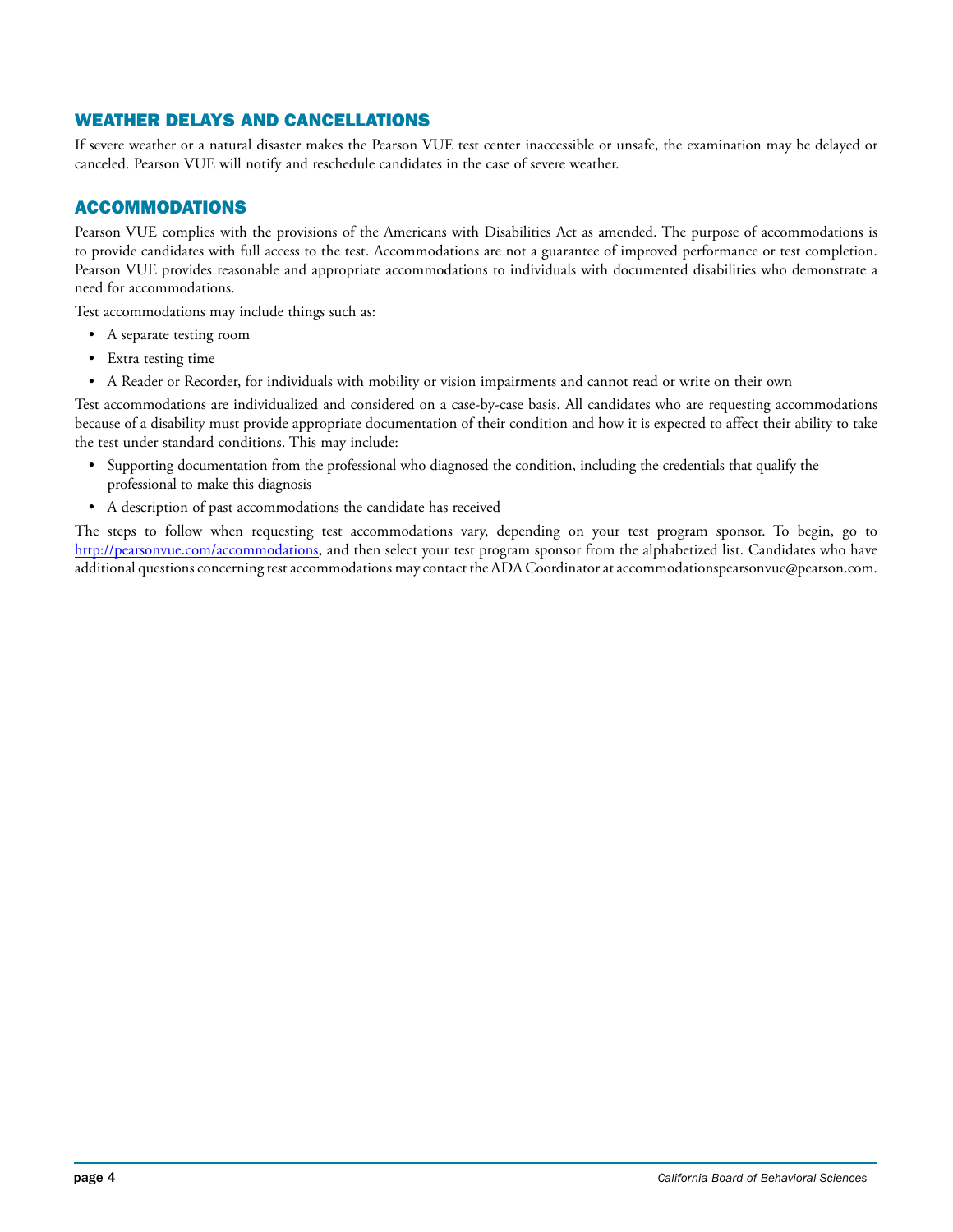# WEATHER DELAYS AND CANCELLATIONS

If severe weather or a natural disaster makes the Pearson VUE test center inaccessible or unsafe, the examination may be delayed or canceled. Pearson VUE will notify and reschedule candidates in the case of severe weather.

# ACCOMMODATIONS

Pearson VUE complies with the provisions of the Americans with Disabilities Act as amended. The purpose of accommodations is to provide candidates with full access to the test. Accommodations are not a guarantee of improved performance or test completion. Pearson VUE provides reasonable and appropriate accommodations to individuals with documented disabilities who demonstrate a need for accommodations.

Test accommodations may include things such as:

- A separate testing room
- Extra testing time
- A Reader or Recorder, for individuals with mobility or vision impairments and cannot read or write on their own

Test accommodations are individualized and considered on a case-by-case basis. All candidates who are requesting accommodations because of a disability must provide appropriate documentation of their condition and how it is expected to affect their ability to take the test under standard conditions. This may include:

- Supporting documentation from the professional who diagnosed the condition, including the credentials that qualify the professional to make this diagnosis
- A description of past accommodations the candidate has received

The steps to follow when requesting test accommodations vary, depending on your test program sponsor. To begin, go to http://pearsonvue.com/accommodations, and then select your test program sponsor from the alphabetized list. Candidates who have additional questions concerning test accommodations may contact the ADA Coordinator at accommodationspearsonvue@pearson.com.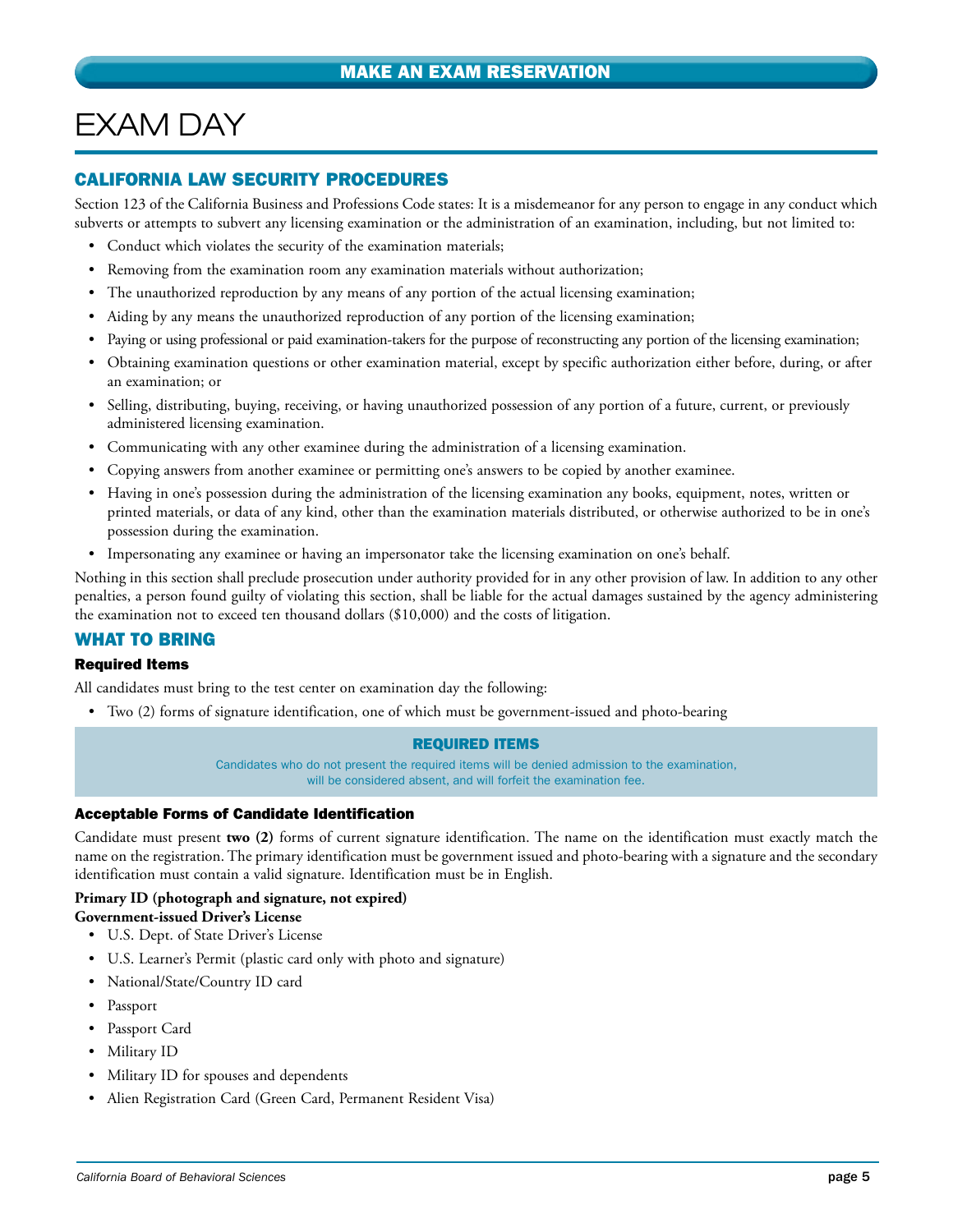# <span id="page-8-0"></span>EXAM DAY

## CALIFORNIA LAW SECURITY PROCEDURES

Section 123 of the California Business and Professions Code states: It is a misdemeanor for any person to engage in any conduct which subverts or attempts to subvert any licensing examination or the administration of an examination, including, but not limited to:

- Conduct which violates the security of the examination materials;
- Removing from the examination room any examination materials without authorization;
- The unauthorized reproduction by any means of any portion of the actual licensing examination;
- Aiding by any means the unauthorized reproduction of any portion of the licensing examination;
- Paying or using professional or paid examination-takers for the purpose of reconstructing any portion of the licensing examination;
- Obtaining examination questions or other examination material, except by specific authorization either before, during, or after an examination; or
- Selling, distributing, buying, receiving, or having unauthorized possession of any portion of a future, current, or previously administered licensing examination.
- Communicating with any other examinee during the administration of a licensing examination.
- Copying answers from another examinee or permitting one's answers to be copied by another examinee.
- Having in one's possession during the administration of the licensing examination any books, equipment, notes, written or printed materials, or data of any kind, other than the examination materials distributed, or otherwise authorized to be in one's possession during the examination.
- Impersonating any examinee or having an impersonator take the licensing examination on one's behalf.

Nothing in this section shall preclude prosecution under authority provided for in any other provision of law. In addition to any other penalties, a person found guilty of violating this section, shall be liable for the actual damages sustained by the agency administering the examination not to exceed ten thousand dollars (\$10,000) and the costs of litigation.

# WHAT TO BRING

#### Required Items

All candidates must bring to the test center on examination day the following:

• Two (2) forms of signature identification, one of which must be government-issued and photo-bearing

#### REQUIRED ITEMS

Candidates who do not present the required items will be denied admission to the examination, will be considered absent, and will forfeit the examination fee.

#### Acceptable Forms of Candidate Identification

Candidate must present **two (2)** forms of current signature identification. The name on the identification must exactly match the name on the registration. The primary identification must be government issued and photo-bearing with a signature and the secondary identification must contain a valid signature. Identification must be in English.

#### **Primary ID (photograph and signature, not expired)**

**Government-issued Driver's License**

- U.S. Dept. of State Driver's License
- U.S. Learner's Permit (plastic card only with photo and signature)
- National/State/Country ID card
- Passport
- Passport Card
- Military ID
- Military ID for spouses and dependents
- Alien Registration Card (Green Card, Permanent Resident Visa)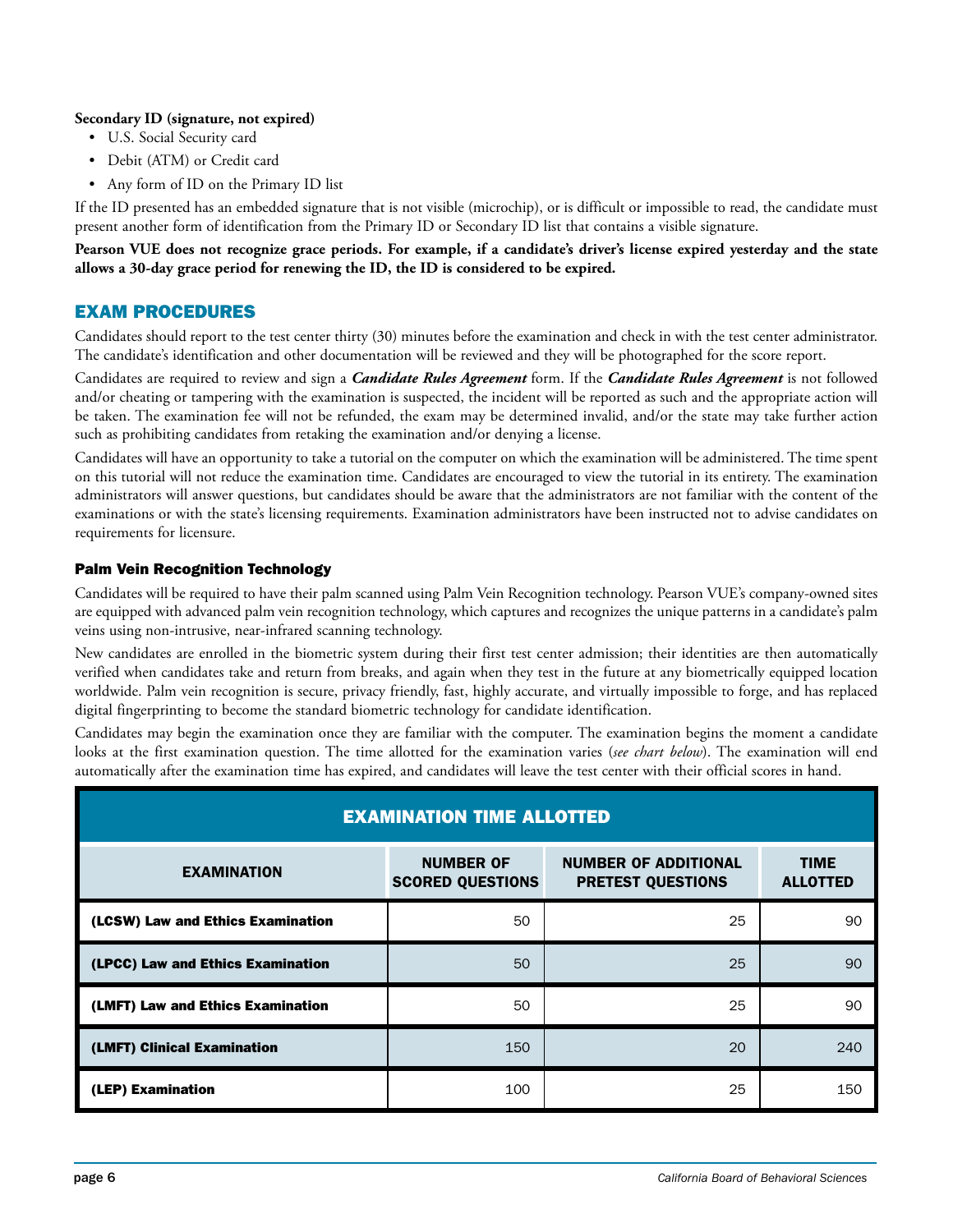#### **Secondary ID (signature, not expired)**

- U.S. Social Security card
- Debit (ATM) or Credit card
- Any form of ID on the Primary ID list

If the ID presented has an embedded signature that is not visible (microchip), or is difficult or impossible to read, the candidate must present another form of identification from the Primary ID or Secondary ID list that contains a visible signature.

**Pearson VUE does not recognize grace periods. For example, if a candidate's driver's license expired yesterday and the state allows a 30-day grace period for renewing the ID, the ID is considered to be expired.**

### EXAM PROCEDURES

Candidates should report to the test center thirty (30) minutes before the examination and check in with the test center administrator. The candidate's identification and other documentation will be reviewed and they will be photographed for the score report.

Candidates are required to review and sign a *Candidate Rules Agreement* form. If the *Candidate Rules Agreement* is not followed and/or cheating or tampering with the examination is suspected, the incident will be reported as such and the appropriate action will be taken. The examination fee will not be refunded, the exam may be determined invalid, and/or the state may take further action such as prohibiting candidates from retaking the examination and/or denying a license.

Candidates will have an opportunity to take a tutorial on the computer on which the examination will be administered. The time spent on this tutorial will not reduce the examination time. Candidates are encouraged to view the tutorial in its entirety. The examination administrators will answer questions, but candidates should be aware that the administrators are not familiar with the content of the examinations or with the state's licensing requirements. Examination administrators have been instructed not to advise candidates on requirements for licensure.

#### Palm Vein Recognition Technology

Candidates will be required to have their palm scanned using Palm Vein Recognition technology. Pearson VUE's company-owned sites are equipped with advanced palm vein recognition technology, which captures and recognizes the unique patterns in a candidate's palm veins using non-intrusive, near-infrared scanning technology.

New candidates are enrolled in the biometric system during their first test center admission; their identities are then automatically verified when candidates take and return from breaks, and again when they test in the future at any biometrically equipped location worldwide. Palm vein recognition is secure, privacy friendly, fast, highly accurate, and virtually impossible to forge, and has replaced digital fingerprinting to become the standard biometric technology for candidate identification.

Candidates may begin the examination once they are familiar with the computer. The examination begins the moment a candidate looks at the first examination question. The time allotted for the examination varies (*see chart below*). The examination will end automatically after the examination time has expired, and candidates will leave the test center with their official scores in hand.

| <b>EXAMINATION TIME ALLOTTED</b>  |                                             |                                                         |                                |
|-----------------------------------|---------------------------------------------|---------------------------------------------------------|--------------------------------|
| <b>EXAMINATION</b>                | <b>NUMBER OF</b><br><b>SCORED QUESTIONS</b> | <b>NUMBER OF ADDITIONAL</b><br><b>PRETEST QUESTIONS</b> | <b>TIME</b><br><b>ALLOTTED</b> |
| (LCSW) Law and Ethics Examination | 50                                          | 25                                                      | 90                             |
| (LPCC) Law and Ethics Examination | 50                                          | 25                                                      | 90                             |
| (LMFT) Law and Ethics Examination | 50                                          | 25                                                      | 90                             |
| (LMFT) Clinical Examination       | 150                                         | 20                                                      | 240                            |
| (LEP) Examination                 | 100                                         | 25                                                      | 150                            |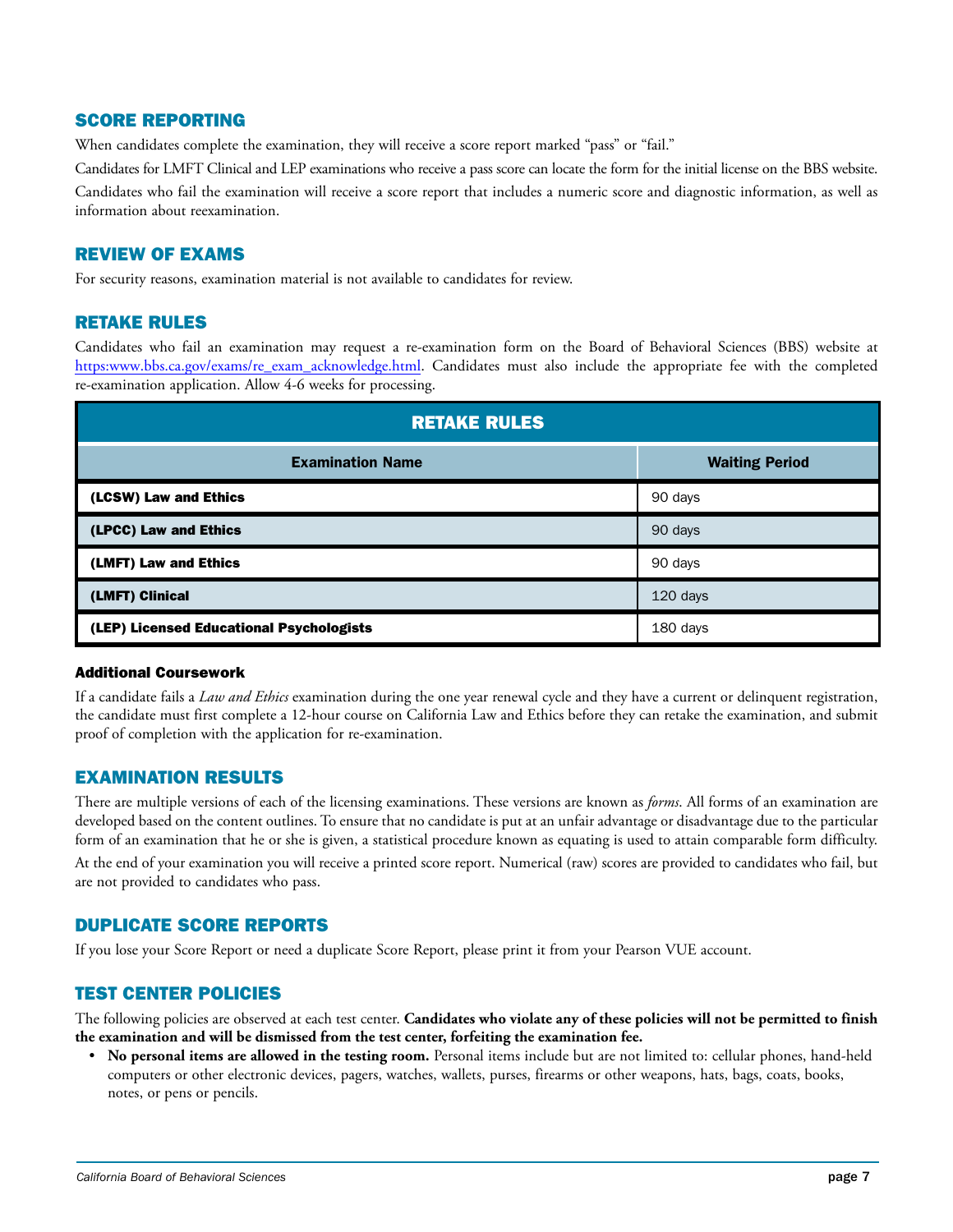### SCORE REPORTING

When candidates complete the examination, they will receive a score report marked "pass" or "fail."

Candidates for LMFT Clinical and LEP examinations who receive a pass score can locate the form for the initial license on the BBS website. Candidates who fail the examination will receive a score report that includes a numeric score and diagnostic information, as well as information about reexamination.

### REVIEW OF EXAMS

For security reasons, examination material is not available to candidates for review.

### RETAKE RULES

Candidates who fail an examination may request a re-examination form on the Board of Behavioral Sciences (BBS) website at https:www.bbs.ca.gov/exams/re\_exam\_acknowledge.html. Candidates must also include the appropriate fee with the completed re-examination application. Allow 4-6 weeks for processing.

| <b>RETAKE RULES</b>                      |                       |  |
|------------------------------------------|-----------------------|--|
| <b>Examination Name</b>                  | <b>Waiting Period</b> |  |
| (LCSW) Law and Ethics                    | 90 days               |  |
| (LPCC) Law and Ethics                    | 90 days               |  |
| (LMFT) Law and Ethics                    | 90 days               |  |
| (LMFT) Clinical                          | 120 days              |  |
| (LEP) Licensed Educational Psychologists | 180 days              |  |

#### Additional Coursework

If a candidate fails a *Law and Ethics* examination during the one year renewal cycle and they have a current or delinquent registration, the candidate must first complete a 12-hour course on California Law and Ethics before they can retake the examination, and submit proof of completion with the application for re-examination.

#### EXAMINATION RESULTS

There are multiple versions of each of the licensing examinations. These versions are known as *forms*. All forms of an examination are developed based on the content outlines. To ensure that no candidate is put at an unfair advantage or disadvantage due to the particular form of an examination that he or she is given, a statistical procedure known as equating is used to attain comparable form difficulty.

At the end of your examination you will receive a printed score report. Numerical (raw) scores are provided to candidates who fail, but are not provided to candidates who pass.

# DUPLICATE SCORE REPORTS

If you lose your Score Report or need a duplicate Score Report, please print it from your Pearson VUE account.

# TEST CENTER POLICIES

The following policies are observed at each test center. **Candidates who violate any of these policies will not be permitted to finish the examination and will be dismissed from the test center, forfeiting the examination fee.**

• **No personal items are allowed in the testing room.** Personal items include but are not limited to: cellular phones, hand-held computers or other electronic devices, pagers, watches, wallets, purses, firearms or other weapons, hats, bags, coats, books, notes, or pens or pencils.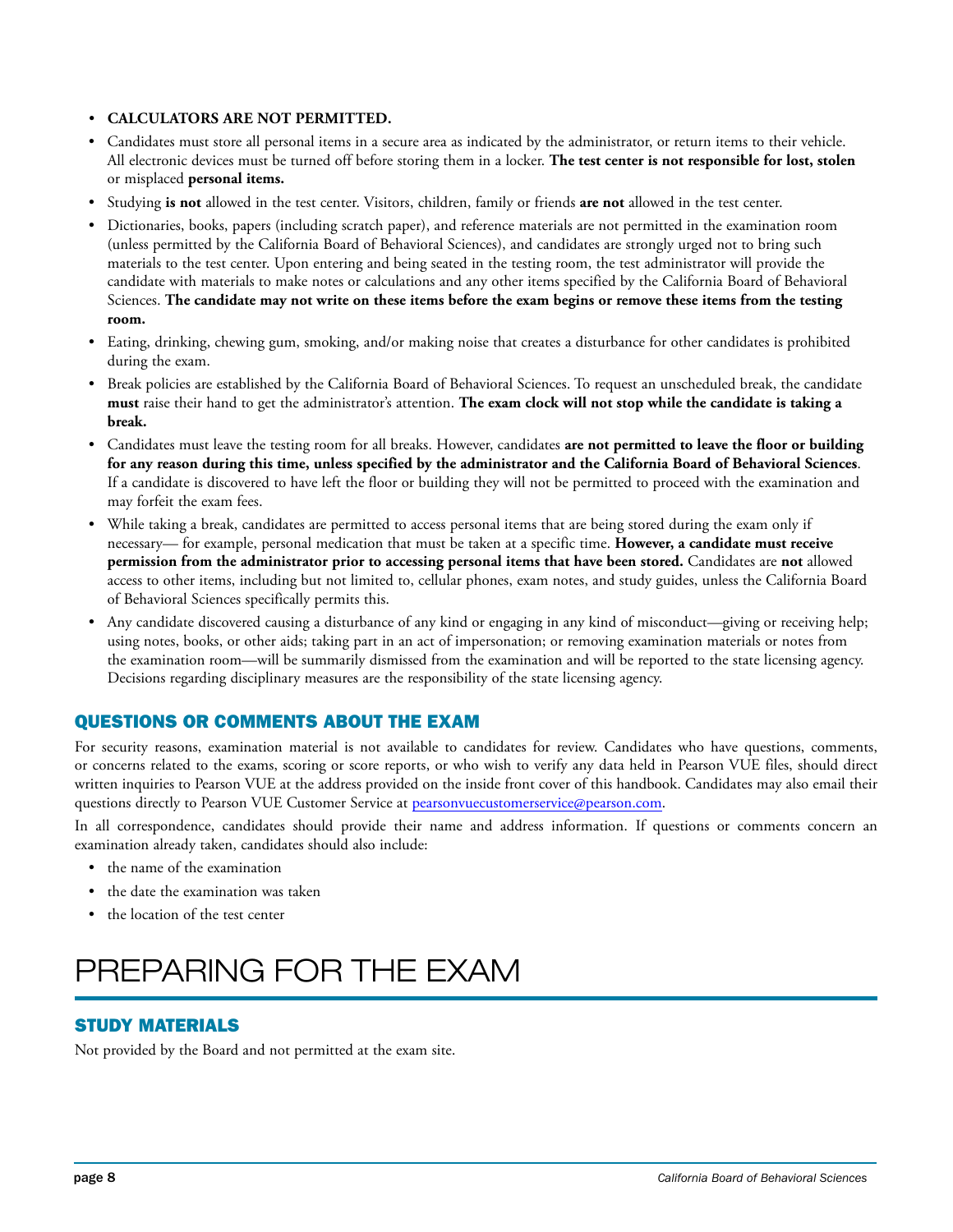#### • **CALCULATORS ARE NOT PERMITTED.**

- Candidates must store all personal items in a secure area as indicated by the administrator, or return items to their vehicle. All electronic devices must be turned off before storing them in a locker. **The test center is not responsible for lost, stolen**  or misplaced **personal items.**
- Studying **is not** allowed in the test center. Visitors, children, family or friends **are not** allowed in the test center.
- Dictionaries, books, papers (including scratch paper), and reference materials are not permitted in the examination room (unless permitted by the California Board of Behavioral Sciences), and candidates are strongly urged not to bring such materials to the test center. Upon entering and being seated in the testing room, the test administrator will provide the candidate with materials to make notes or calculations and any other items specified by the California Board of Behavioral Sciences. **The candidate may not write on these items before the exam begins or remove these items from the testing room.**
- Eating, drinking, chewing gum, smoking, and/or making noise that creates a disturbance for other candidates is prohibited during the exam.
- Break policies are established by the California Board of Behavioral Sciences. To request an unscheduled break, the candidate **must** raise their hand to get the administrator's attention. **The exam clock will not stop while the candidate is taking a break.**
- Candidates must leave the testing room for all breaks. However, candidates **are not permitted to leave the floor or building for any reason during this time, unless specified by the administrator and the California Board of Behavioral Sciences**. If a candidate is discovered to have left the floor or building they will not be permitted to proceed with the examination and may forfeit the exam fees.
- While taking a break, candidates are permitted to access personal items that are being stored during the exam only if necessary— for example, personal medication that must be taken at a specific time. **However, a candidate must receive permission from the administrator prior to accessing personal items that have been stored.** Candidates are **not** allowed access to other items, including but not limited to, cellular phones, exam notes, and study guides, unless the California Board of Behavioral Sciences specifically permits this.
- Any candidate discovered causing a disturbance of any kind or engaging in any kind of misconduct—giving or receiving help; using notes, books, or other aids; taking part in an act of impersonation; or removing examination materials or notes from the examination room—will be summarily dismissed from the examination and will be reported to the state licensing agency. Decisions regarding disciplinary measures are the responsibility of the state licensing agency.

# QUESTIONS OR COMMENTS ABOUT THE EXAM

For security reasons, examination material is not available to candidates for review. Candidates who have questions, comments, or concerns related to the exams, scoring or score reports, or who wish to verify any data held in Pearson VUE files, should direct written inquiries to Pearson VUE at the address provided on the inside front cover of this handbook. Candidates may also email their questions directly to Pearson VUE Customer Service at pearsonvuecustomerservice@pearson.com.

In all correspondence, candidates should provide their name and address information. If questions or comments concern an examination already taken, candidates should also include:

- the name of the examination
- the date the examination was taken
- the location of the test center

# PREPARING FOR THE EXAM

# STUDY MATERIALS

Not provided by the Board and not permitted at the exam site.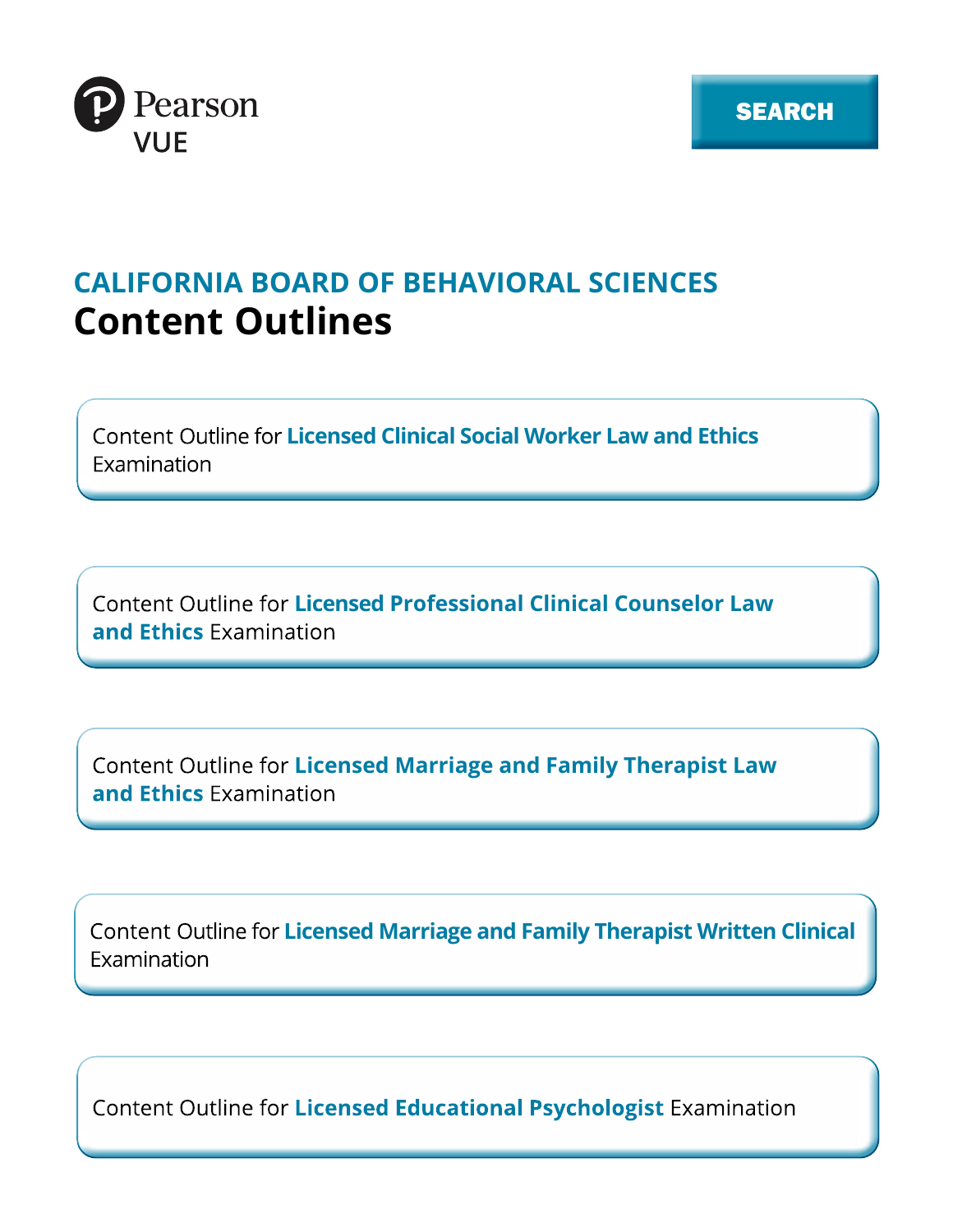

# **CALIFORNIA BOARD OF BEHAVIORAL SCIENCES Content Outlines**

**Fxamination** 

**Licensed Clinical Social Worker Law and Ethics<br>
Licensed Professional Clinical Counselor Law<br>
Licensed Marriage and Family Therapist Law<br>
Licensed Marriage and Family Therapist Written Clinical<br>
Licensed Marriage and Fami** 

Examination

Content Outline for Licensed Educational Psychologist Examination